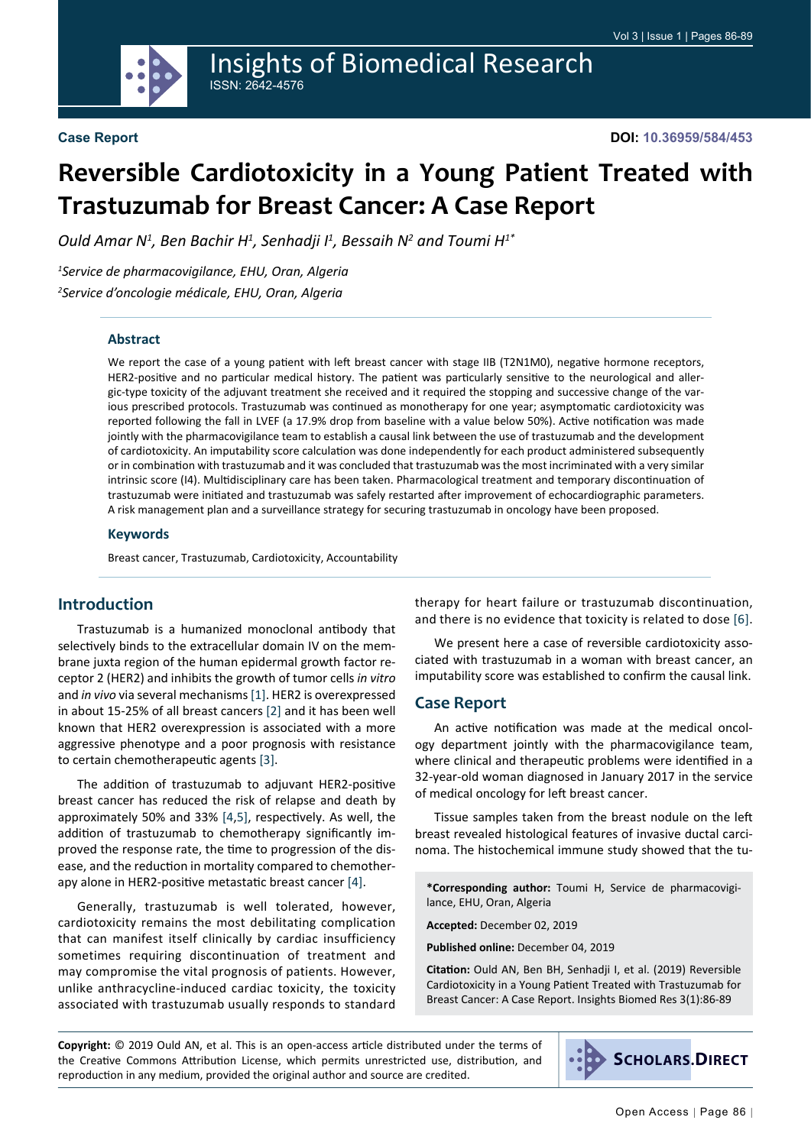

# **Reversible Cardiotoxicity in a Young Patient Treated with Trastuzumab for Breast Cancer: A Case Report**

*Ould Amar N1 , Ben Bachir H1 , Senhadji I1 , Bessaih N2 and Toumi H1\**

*1 Service de pharmacovigilance, EHU, Oran, Algeria 2 Service d'oncologie médicale, EHU, Oran, Algeria*

#### **Abstract**

We report the case of a young patient with left breast cancer with stage IIB (T2N1M0), negative hormone receptors, HER2-positive and no particular medical history. The patient was particularly sensitive to the neurological and allergic-type toxicity of the adjuvant treatment she received and it required the stopping and successive change of the various prescribed protocols. Trastuzumab was continued as monotherapy for one year; asymptomatic cardiotoxicity was reported following the fall in LVEF (a 17.9% drop from baseline with a value below 50%). Active notification was made jointly with the pharmacovigilance team to establish a causal link between the use of trastuzumab and the development of cardiotoxicity. An imputability score calculation was done independently for each product administered subsequently or in combination with trastuzumab and it was concluded that trastuzumab was the most incriminated with a very similar intrinsic score (I4). Multidisciplinary care has been taken. Pharmacological treatment and temporary discontinuation of trastuzumab were initiated and trastuzumab was safely restarted after improvement of echocardiographic parameters. A risk management plan and a surveillance strategy for securing trastuzumab in oncology have been proposed.

#### **Keywords**

Breast cancer, Trastuzumab, Cardiotoxicity, Accountability

## **Introduction**

Trastuzumab is a humanized monoclonal antibody that selectively binds to the extracellular domain IV on the membrane juxta region of the human epidermal growth factor receptor 2 (HER2) and inhibits the growth of tumor cells *in vitro* and *in vivo* via several mechanisms [\[1](#page-3-0)]. HER2 is overexpressed in about 15-25% of all breast cancers [\[2\]](#page-3-1) and it has been well known that HER2 overexpression is associated with a more aggressive phenotype and a poor prognosis with resistance to certain chemotherapeutic agents [\[3\]](#page-3-2).

The addition of trastuzumab to adjuvant HER2-positive breast cancer has reduced the risk of relapse and death by approximately 50% and 33% [\[4](#page-3-3),[5\]](#page-3-4), respectively. As well, the addition of trastuzumab to chemotherapy significantly improved the response rate, the time to progression of the disease, and the reduction in mortality compared to chemotherapy alone in HER2-positive metastatic breast cancer [\[4](#page-3-3)].

Generally, trastuzumab is well tolerated, however, cardiotoxicity remains the most debilitating complication that can manifest itself clinically by cardiac insufficiency sometimes requiring discontinuation of treatment and may compromise the vital prognosis of patients. However, unlike anthracycline-induced cardiac toxicity, the toxicity associated with trastuzumab usually responds to standard therapy for heart failure or trastuzumab discontinuation, and there is no evidence that toxicity is related to dose [[6\]](#page-3-5).

We present here a case of reversible cardiotoxicity associated with trastuzumab in a woman with breast cancer, an imputability score was established to confirm the causal link.

#### **Case Report**

An active notification was made at the medical oncology department jointly with the pharmacovigilance team, where clinical and therapeutic problems were identified in a 32-year-old woman diagnosed in January 2017 in the service of medical oncology for left breast cancer.

Tissue samples taken from the breast nodule on the left breast revealed histological features of invasive ductal carcinoma. The histochemical immune study showed that the tu-

**\*Corresponding author:** Toumi H, Service de pharmacovigilance, EHU, Oran, Algeria

**Accepted:** December 02, 2019

**Published online:** December 04, 2019

**Citation:** Ould AN, Ben BH, Senhadji I, et al. (2019) Reversible Cardiotoxicity in a Young Patient Treated with Trastuzumab for Breast Cancer: A Case Report. Insights Biomed Res 3(1):86-89

**Copyright:** © 2019 Ould AN, et al. This is an open-access article distributed under the terms of the Creative Commons Attribution License, which permits unrestricted use, distribution, and reproduction in any medium, provided the original author and source are credited.

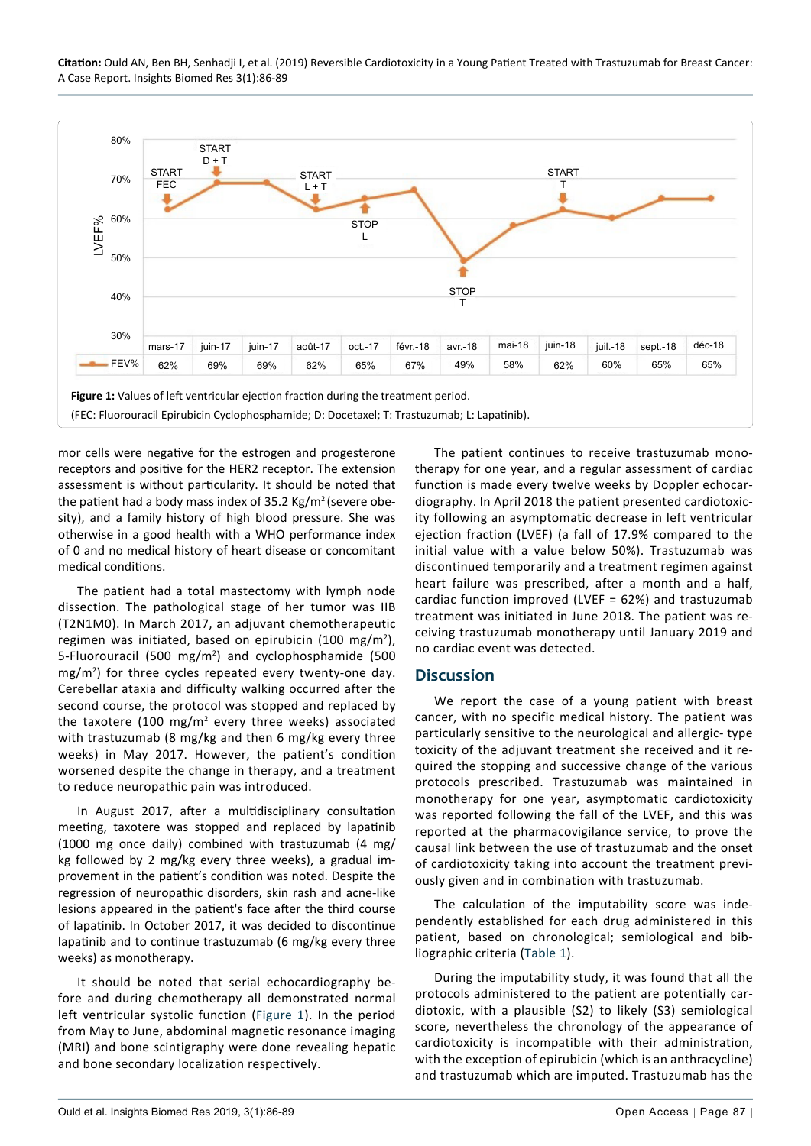**Citation:** Ould AN, Ben BH, Senhadji I, et al. (2019) Reversible Cardiotoxicity in a Young Patient Treated with Trastuzumab for Breast Cancer: A Case Report. Insights Biomed Res 3(1):86-89

<span id="page-1-0"></span>

mor cells were negative for the estrogen and progesterone receptors and positive for the HER2 receptor. The extension assessment is without particularity. It should be noted that the patient had a body mass index of 35.2 Kg/m<sup>2</sup> (severe obesity), and a family history of high blood pressure. She was otherwise in a good health with a WHO performance index of 0 and no medical history of heart disease or concomitant medical conditions.

The patient had a total mastectomy with lymph node dissection. The pathological stage of her tumor was IIB (T2N1M0). In March 2017, an adjuvant chemotherapeutic regimen was initiated, based on epirubicin (100 mg/m<sup>2</sup>), 5-Fluorouracil (500 mg/m<sup>2</sup>) and cyclophosphamide (500 mg/m<sup>2</sup> ) for three cycles repeated every twenty-one day. Cerebellar ataxia and difficulty walking occurred after the second course, the protocol was stopped and replaced by the taxotere (100 mg/m<sup>2</sup> every three weeks) associated with trastuzumab (8 mg/kg and then 6 mg/kg every three weeks) in May 2017. However, the patient's condition worsened despite the change in therapy, and a treatment to reduce neuropathic pain was introduced.

In August 2017, after a multidisciplinary consultation meeting, taxotere was stopped and replaced by lapatinib (1000 mg once daily) combined with trastuzumab (4 mg/ kg followed by 2 mg/kg every three weeks), a gradual improvement in the patient's condition was noted. Despite the regression of neuropathic disorders, skin rash and acne-like lesions appeared in the patient's face after the third course of lapatinib. In October 2017, it was decided to discontinue lapatinib and to continue trastuzumab (6 mg/kg every three weeks) as monotherapy.

It should be noted that serial echocardiography before and during chemotherapy all demonstrated normal left ventricular systolic function ([Figure 1\)](#page-1-0). In the period from May to June, abdominal magnetic resonance imaging (MRI) and bone scintigraphy were done revealing hepatic and bone secondary localization respectively.

The patient continues to receive trastuzumab monotherapy for one year, and a regular assessment of cardiac function is made every twelve weeks by Doppler echocardiography. In April 2018 the patient presented cardiotoxicity following an asymptomatic decrease in left ventricular ejection fraction (LVEF) (a fall of 17.9% compared to the initial value with a value below 50%). Trastuzumab was discontinued temporarily and a treatment regimen against heart failure was prescribed, after a month and a half, cardiac function improved (LVEF = 62%) and trastuzumab treatment was initiated in June 2018. The patient was receiving trastuzumab monotherapy until January 2019 and no cardiac event was detected.

#### **Discussion**

We report the case of a young patient with breast cancer, with no specific medical history. The patient was particularly sensitive to the neurological and allergic- type toxicity of the adjuvant treatment she received and it required the stopping and successive change of the various protocols prescribed. Trastuzumab was maintained in monotherapy for one year, asymptomatic cardiotoxicity was reported following the fall of the LVEF, and this was reported at the pharmacovigilance service, to prove the causal link between the use of trastuzumab and the onset of cardiotoxicity taking into account the treatment previously given and in combination with trastuzumab.

The calculation of the imputability score was independently established for each drug administered in this patient, based on chronological; semiological and bibliographic criteria [\(Table 1](#page-2-0)).

During the imputability study, it was found that all the protocols administered to the patient are potentially cardiotoxic, with a plausible (S2) to likely (S3) semiological score, nevertheless the chronology of the appearance of cardiotoxicity is incompatible with their administration, with the exception of epirubicin (which is an anthracycline) and trastuzumab which are imputed. Trastuzumab has the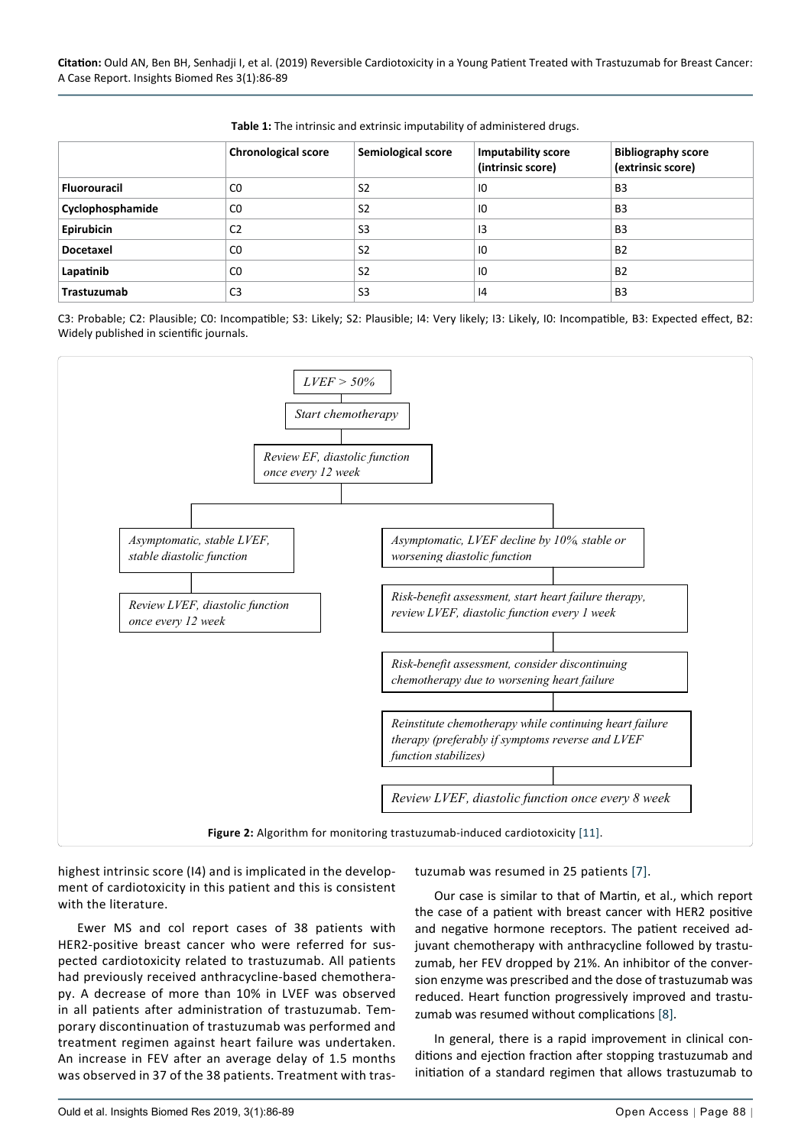|                     | <b>Chronological score</b> | Semiological score | <b>Imputability score</b><br>(intrinsic score) | <b>Bibliography score</b><br>(extrinsic score) |
|---------------------|----------------------------|--------------------|------------------------------------------------|------------------------------------------------|
| <b>Fluorouracil</b> | C <sub>0</sub>             | S <sub>2</sub>     | 10                                             | <b>B3</b>                                      |
| Cyclophosphamide    | C <sub>0</sub>             | S <sub>2</sub>     | 10                                             | <b>B3</b>                                      |
| Epirubicin          | C <sub>2</sub>             | S <sub>3</sub>     | 13                                             | B <sub>3</sub>                                 |
| <b>Docetaxel</b>    | C <sub>0</sub>             | S <sub>2</sub>     | 10                                             | <b>B2</b>                                      |
| Lapatinib           | C <sub>0</sub>             | S <sub>2</sub>     | 10                                             | <b>B2</b>                                      |
| Trastuzumab         | C3                         | S <sub>3</sub>     | 4                                              | B <sub>3</sub>                                 |

<span id="page-2-0"></span>**Table 1:** The intrinsic and extrinsic imputability of administered drugs.

C3: Probable; C2: Plausible; C0: Incompatible; S3: Likely; S2: Plausible; I4: Very likely; I3: Likely, I0: Incompatible, B3: Expected effect, B2: Widely published in scientific journals.

<span id="page-2-1"></span>

highest intrinsic score (I4) and is implicated in the development of cardiotoxicity in this patient and this is consistent with the literature.

Ewer MS and col report cases of 38 patients with HER2-positive breast cancer who were referred for suspected cardiotoxicity related to trastuzumab. All patients had previously received anthracycline-based chemotherapy. A decrease of more than 10% in LVEF was observed in all patients after administration of trastuzumab. Temporary discontinuation of trastuzumab was performed and treatment regimen against heart failure was undertaken. An increase in FEV after an average delay of 1.5 months was observed in 37 of the 38 patients. Treatment with trastuzumab was resumed in 25 patients [[7](#page-3-7)].

Our case is similar to that of Martin, et al., which report the case of a patient with breast cancer with HER2 positive and negative hormone receptors. The patient received adjuvant chemotherapy with anthracycline followed by trastuzumab, her FEV dropped by 21%. An inhibitor of the conversion enzyme was prescribed and the dose of trastuzumab was reduced. Heart function progressively improved and trastuzumab was resumed without complications [\[8](#page-3-8)].

In general, there is a rapid improvement in clinical conditions and ejection fraction after stopping trastuzumab and initiation of a standard regimen that allows trastuzumab to